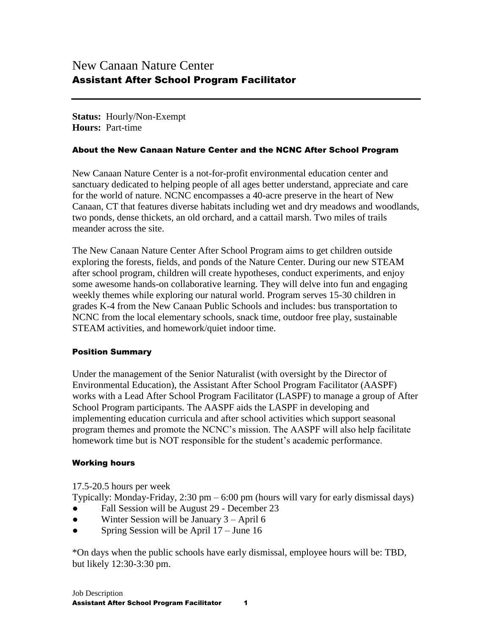**Status:** Hourly/Non-Exempt **Hours:** Part-time

#### About the New Canaan Nature Center and the NCNC After School Program

New Canaan Nature Center is a not-for-profit environmental education center and sanctuary dedicated to helping people of all ages better understand, appreciate and care for the world of nature. NCNC encompasses a 40-acre preserve in the heart of New Canaan, CT that features diverse habitats including wet and dry meadows and woodlands, two ponds, dense thickets, an old orchard, and a cattail marsh. Two miles of trails meander across the site.

The New Canaan Nature Center After School Program aims to get children outside exploring the forests, fields, and ponds of the Nature Center. During our new STEAM after school program, children will create hypotheses, conduct experiments, and enjoy some awesome hands-on collaborative learning. They will delve into fun and engaging weekly themes while exploring our natural world. Program serves 15-30 children in grades K-4 from the New Canaan Public Schools and includes: bus transportation to NCNC from the local elementary schools, snack time, outdoor free play, sustainable STEAM activities, and homework/quiet indoor time.

### Position Summary

Under the management of the Senior Naturalist (with oversight by the Director of Environmental Education), the Assistant After School Program Facilitator (AASPF) works with a Lead After School Program Facilitator (LASPF) to manage a group of After School Program participants. The AASPF aids the LASPF in developing and implementing education curricula and after school activities which support seasonal program themes and promote the NCNC's mission. The AASPF will also help facilitate homework time but is NOT responsible for the student's academic performance.

### Working hours

17.5-20.5 hours per week

Typically: Monday-Friday,  $2:30 \text{ pm} - 6:00 \text{ pm}$  (hours will vary for early dismissal days)

- Fall Session will be August 29 December 23
- Winter Session will be January  $3 -$ April 6
- Spring Session will be April  $17 -$  June 16

\*On days when the public schools have early dismissal, employee hours will be: TBD, but likely 12:30-3:30 pm.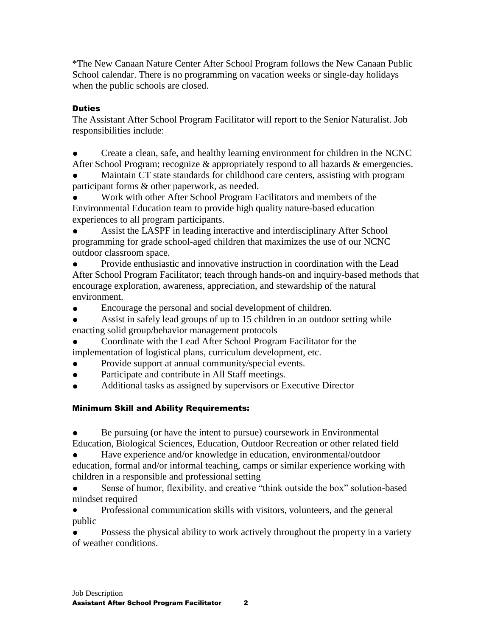\*The New Canaan Nature Center After School Program follows the New Canaan Public School calendar. There is no programming on vacation weeks or single-day holidays when the public schools are closed.

## **Duties**

The Assistant After School Program Facilitator will report to the Senior Naturalist. Job responsibilities include:

Create a clean, safe, and healthy learning environment for children in the NCNC After School Program; recognize & appropriately respond to all hazards & emergencies.

Maintain CT state standards for childhood care centers, assisting with program participant forms & other paperwork, as needed.

Work with other After School Program Facilitators and members of the Environmental Education team to provide high quality nature-based education experiences to all program participants.

Assist the LASPF in leading interactive and interdisciplinary After School programming for grade school-aged children that maximizes the use of our NCNC outdoor classroom space.

Provide enthusiastic and innovative instruction in coordination with the Lead After School Program Facilitator; teach through hands-on and inquiry-based methods that encourage exploration, awareness, appreciation, and stewardship of the natural environment.

Encourage the personal and social development of children.

● Assist in safely lead groups of up to 15 children in an outdoor setting while enacting solid group/behavior management protocols

Coordinate with the Lead After School Program Facilitator for the implementation of logistical plans, curriculum development, etc.

- Provide support at annual community/special events.
- Participate and contribute in All Staff meetings.
- Additional tasks as assigned by supervisors or Executive Director

# Minimum Skill and Ability Requirements:

Be pursuing (or have the intent to pursue) coursework in Environmental Education, Biological Sciences, Education, Outdoor Recreation or other related field

Have experience and/or knowledge in education, environmental/outdoor education, formal and/or informal teaching, camps or similar experience working with children in a responsible and professional setting

Sense of humor, flexibility, and creative "think outside the box" solution-based mindset required

● Professional communication skills with visitors, volunteers, and the general public

Possess the physical ability to work actively throughout the property in a variety of weather conditions.